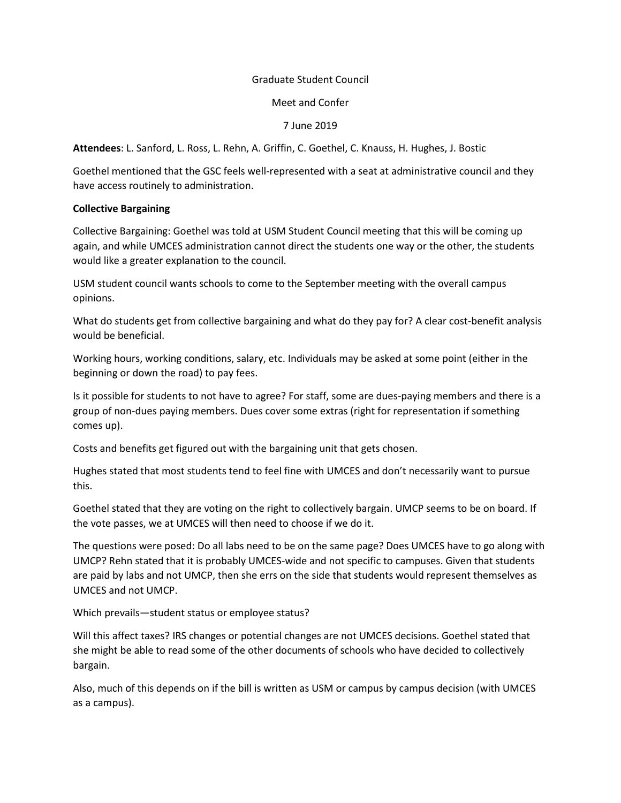### Graduate Student Council

#### Meet and Confer

## 7 June 2019

**Attendees**: L. Sanford, L. Ross, L. Rehn, A. Griffin, C. Goethel, C. Knauss, H. Hughes, J. Bostic

Goethel mentioned that the GSC feels well-represented with a seat at administrative council and they have access routinely to administration.

#### **Collective Bargaining**

Collective Bargaining: Goethel was told at USM Student Council meeting that this will be coming up again, and while UMCES administration cannot direct the students one way or the other, the students would like a greater explanation to the council.

USM student council wants schools to come to the September meeting with the overall campus opinions.

What do students get from collective bargaining and what do they pay for? A clear cost-benefit analysis would be beneficial.

Working hours, working conditions, salary, etc. Individuals may be asked at some point (either in the beginning or down the road) to pay fees.

Is it possible for students to not have to agree? For staff, some are dues-paying members and there is a group of non-dues paying members. Dues cover some extras (right for representation if something comes up).

Costs and benefits get figured out with the bargaining unit that gets chosen.

Hughes stated that most students tend to feel fine with UMCES and don't necessarily want to pursue this.

Goethel stated that they are voting on the right to collectively bargain. UMCP seems to be on board. If the vote passes, we at UMCES will then need to choose if we do it.

The questions were posed: Do all labs need to be on the same page? Does UMCES have to go along with UMCP? Rehn stated that it is probably UMCES-wide and not specific to campuses. Given that students are paid by labs and not UMCP, then she errs on the side that students would represent themselves as UMCES and not UMCP.

Which prevails—student status or employee status?

Will this affect taxes? IRS changes or potential changes are not UMCES decisions. Goethel stated that she might be able to read some of the other documents of schools who have decided to collectively bargain.

Also, much of this depends on if the bill is written as USM or campus by campus decision (with UMCES as a campus).